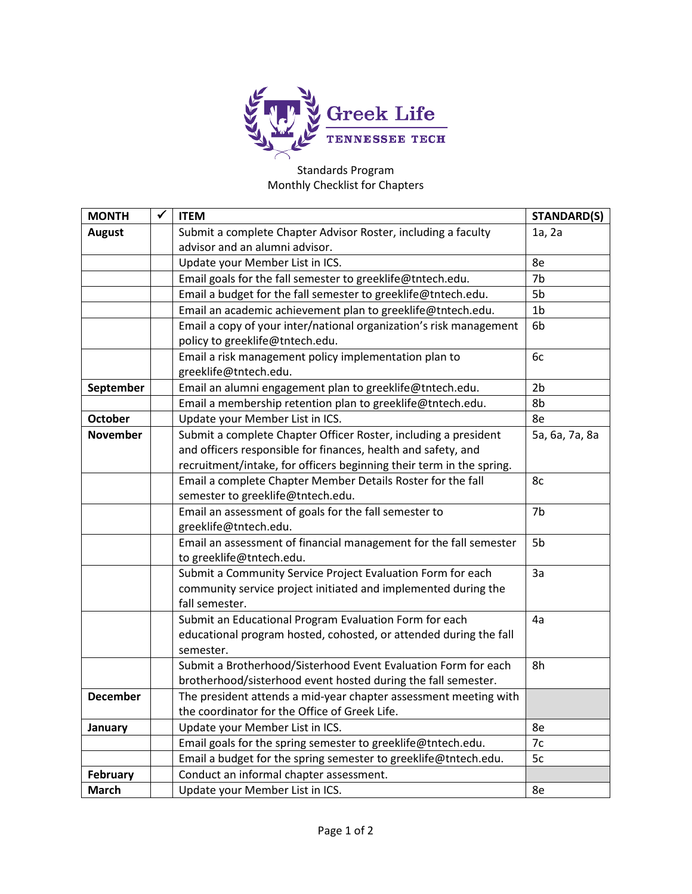

## Standards Program Monthly Checklist for Chapters

| <b>MONTH</b>    | ✔ | <b>ITEM</b>                                                          | <b>STANDARD(S)</b> |
|-----------------|---|----------------------------------------------------------------------|--------------------|
| <b>August</b>   |   | Submit a complete Chapter Advisor Roster, including a faculty        | 1a, 2a             |
|                 |   | advisor and an alumni advisor.                                       |                    |
|                 |   | Update your Member List in ICS.                                      | 8e                 |
|                 |   | Email goals for the fall semester to greeklife@tntech.edu.           | 7b                 |
|                 |   | Email a budget for the fall semester to greeklife@tntech.edu.        | 5b                 |
|                 |   | Email an academic achievement plan to greeklife@tntech.edu.          | 1 <sub>b</sub>     |
|                 |   | Email a copy of your inter/national organization's risk management   | 6b                 |
|                 |   | policy to greeklife@tntech.edu.                                      |                    |
|                 |   | Email a risk management policy implementation plan to                | 6c                 |
|                 |   | greeklife@tntech.edu.                                                |                    |
| September       |   | Email an alumni engagement plan to greeklife@tntech.edu.             | 2 <sub>b</sub>     |
|                 |   | Email a membership retention plan to greeklife@tntech.edu.           | 8b                 |
| <b>October</b>  |   | Update your Member List in ICS.                                      | 8e                 |
| <b>November</b> |   | Submit a complete Chapter Officer Roster, including a president      | 5a, 6a, 7a, 8a     |
|                 |   | and officers responsible for finances, health and safety, and        |                    |
|                 |   | recruitment/intake, for officers beginning their term in the spring. |                    |
|                 |   | Email a complete Chapter Member Details Roster for the fall          | 8c                 |
|                 |   | semester to greeklife@tntech.edu.                                    |                    |
|                 |   | Email an assessment of goals for the fall semester to                | 7b                 |
|                 |   | greeklife@tntech.edu.                                                |                    |
|                 |   | Email an assessment of financial management for the fall semester    | 5b                 |
|                 |   | to greeklife@tntech.edu.                                             |                    |
|                 |   | Submit a Community Service Project Evaluation Form for each          | 3a                 |
|                 |   | community service project initiated and implemented during the       |                    |
|                 |   | fall semester.                                                       |                    |
|                 |   | Submit an Educational Program Evaluation Form for each               | 4a                 |
|                 |   | educational program hosted, cohosted, or attended during the fall    |                    |
|                 |   | semester.                                                            |                    |
|                 |   | Submit a Brotherhood/Sisterhood Event Evaluation Form for each       | 8h                 |
|                 |   | brotherhood/sisterhood event hosted during the fall semester.        |                    |
| <b>December</b> |   | The president attends a mid-year chapter assessment meeting with     |                    |
|                 |   | the coordinator for the Office of Greek Life.                        |                    |
| January         |   | Update your Member List in ICS.                                      | 8e                 |
|                 |   | Email goals for the spring semester to greeklife@tntech.edu.         | 7c                 |
|                 |   | Email a budget for the spring semester to greeklife@tntech.edu.      | 5c                 |
| February        |   | Conduct an informal chapter assessment.                              |                    |
| <b>March</b>    |   | Update your Member List in ICS.                                      | 8e                 |